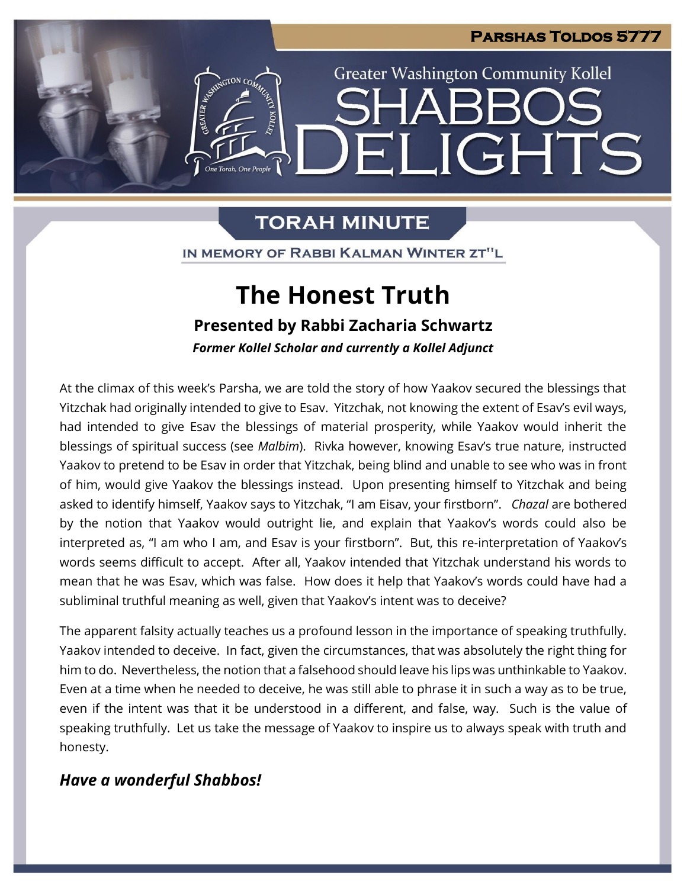**LIGHTS** 

**Greater Washington Community Kollel** 

# **TORAH MINUTE**

IN MEMORY OF RABBI KALMAN WINTER ZT"L

# **The Honest Truth**

**Presented by Rabbi Zacharia Schwartz**

*Former Kollel Scholar and currently a Kollel Adjunct*

At the climax of this week's Parsha, we are told the story of how Yaakov secured the blessings that Yitzchak had originally intended to give to Esav. Yitzchak, not knowing the extent of Esav's evil ways, had intended to give Esav the blessings of material prosperity, while Yaakov would inherit the blessings of spiritual success (see *Malbim*). Rivka however, knowing Esav's true nature, instructed Yaakov to pretend to be Esav in order that Yitzchak, being blind and unable to see who was in front of him, would give Yaakov the blessings instead. Upon presenting himself to Yitzchak and being asked to identify himself, Yaakov says to Yitzchak, "I am Eisav, your firstborn". *Chazal* are bothered by the notion that Yaakov would outright lie, and explain that Yaakov's words could also be interpreted as, "I am who I am, and Esav is your firstborn". But, this re-interpretation of Yaakov's words seems difficult to accept. After all, Yaakov intended that Yitzchak understand his words to mean that he was Esav, which was false. How does it help that Yaakov's words could have had a subliminal truthful meaning as well, given that Yaakov's intent was to deceive?

The apparent falsity actually teaches us a profound lesson in the importance of speaking truthfully. Yaakov intended to deceive. In fact, given the circumstances, that was absolutely the right thing for him to do. Nevertheless, the notion that a falsehood should leave his lips was unthinkable to Yaakov. Even at a time when he needed to deceive, he was still able to phrase it in such a way as to be true, even if the intent was that it be understood in a different, and false, way. Such is the value of speaking truthfully. Let us take the message of Yaakov to inspire us to always speak with truth and honesty.

## *Have a wonderful Shabbos!*